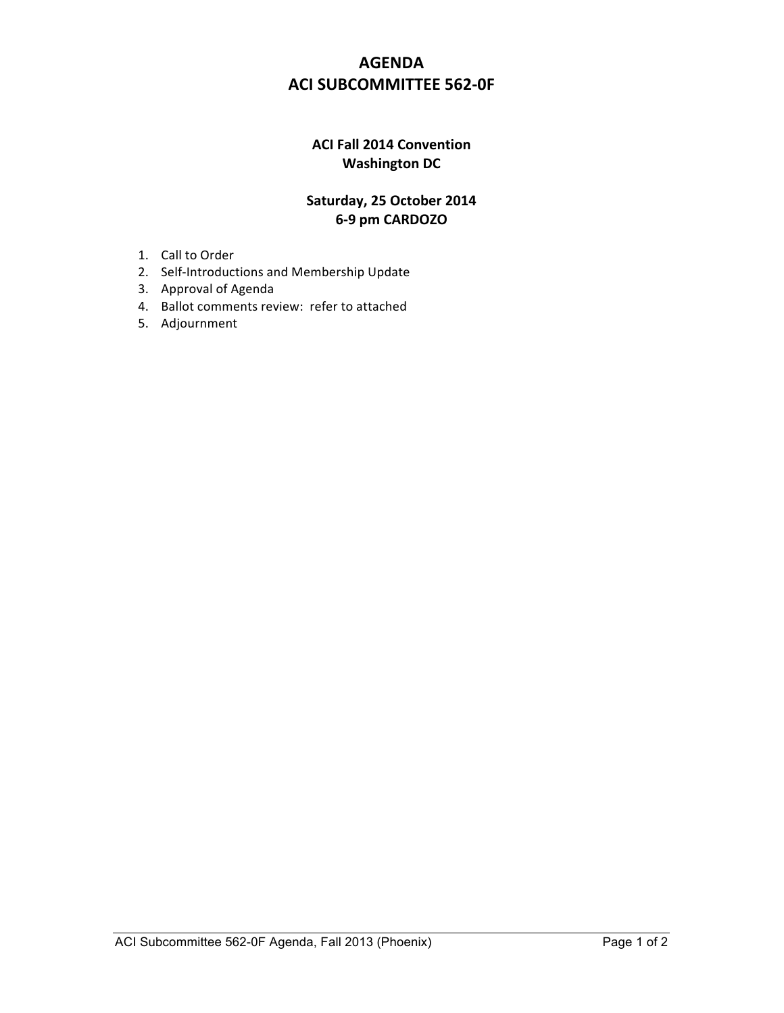## **AGENDA ACI SUBCOMMITTEE 562-0F**

## **ACI Fall 2014 Convention Washington DC**

## Saturday, 25 October 2014 **629&pm&CARDOZO**

- 1. Call to Order
- 2. Self-Introductions and Membership Update
- 3. Approval of Agenda
- 4. Ballot comments review: refer to attached
- 5. Adjournment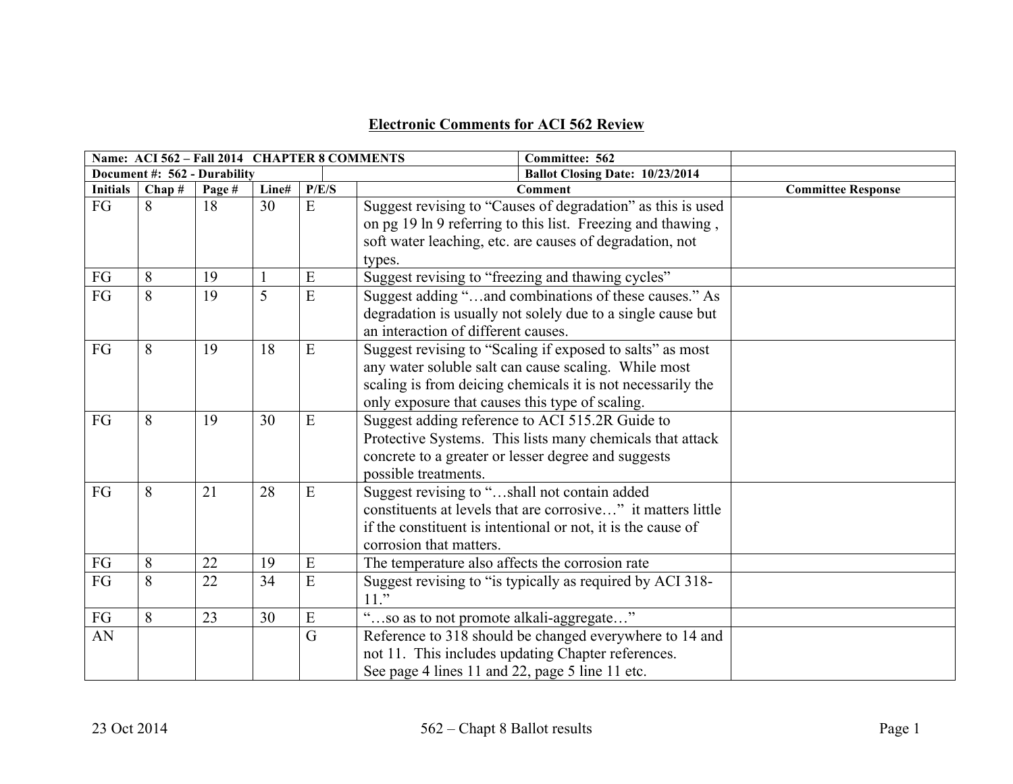## **Electronic Comments for ACI 562 Review**

|                          | Name: ACI 562 - Fall 2014 CHAPTER 8 COMMENTS |        |              |       |                                                              |                           |
|--------------------------|----------------------------------------------|--------|--------------|-------|--------------------------------------------------------------|---------------------------|
|                          | Document #: 562 - Durability                 |        |              |       | Ballot Closing Date: 10/23/2014                              |                           |
| <b>Initials</b>          | Chap#                                        | Page # | Line#        | P/E/S | <b>Comment</b>                                               | <b>Committee Response</b> |
| FG                       | 8                                            | 18     | 30           | E     | Suggest revising to "Causes of degradation" as this is used  |                           |
|                          |                                              |        |              |       | on pg 19 ln 9 referring to this list. Freezing and thawing,  |                           |
|                          |                                              |        |              |       | soft water leaching, etc. are causes of degradation, not     |                           |
|                          |                                              |        |              |       | types.                                                       |                           |
| $\mathcal{F}\mathcal{G}$ | 8                                            | 19     | $\mathbf{1}$ | E     | Suggest revising to "freezing and thawing cycles"            |                           |
| FG                       | 8                                            | 19     | 5            | E     | Suggest adding "and combinations of these causes." As        |                           |
|                          |                                              |        |              |       | degradation is usually not solely due to a single cause but  |                           |
|                          |                                              |        |              |       | an interaction of different causes.                          |                           |
| FG                       | 8                                            | 19     | 18           | E     | Suggest revising to "Scaling if exposed to salts" as most    |                           |
|                          |                                              |        |              |       | any water soluble salt can cause scaling. While most         |                           |
|                          |                                              |        |              |       | scaling is from deicing chemicals it is not necessarily the  |                           |
|                          |                                              |        |              |       | only exposure that causes this type of scaling.              |                           |
| FG                       | 8                                            | 19     | 30           | E     | Suggest adding reference to ACI 515.2R Guide to              |                           |
|                          |                                              |        |              |       | Protective Systems. This lists many chemicals that attack    |                           |
|                          |                                              |        |              |       | concrete to a greater or lesser degree and suggests          |                           |
|                          |                                              |        |              |       | possible treatments.                                         |                           |
| FG                       | 8                                            | 21     | 28           | E     | Suggest revising to "shall not contain added                 |                           |
|                          |                                              |        |              |       | constituents at levels that are corrosive" it matters little |                           |
|                          |                                              |        |              |       | if the constituent is intentional or not, it is the cause of |                           |
|                          |                                              |        |              |       | corrosion that matters.                                      |                           |
| ${\rm FG}$               | 8                                            | 22     | 19           | E     | The temperature also affects the corrosion rate              |                           |
| FG                       | 8                                            | 22     | 34           | E     | Suggest revising to "is typically as required by ACI 318-    |                           |
|                          |                                              |        |              |       | $11.$ "                                                      |                           |
| FG                       | 8                                            | 23     | 30           | E     | $\zeta\,\zeta$<br>"so as to not promote alkali-aggregate"    |                           |
| AN                       |                                              |        |              | G     | Reference to 318 should be changed everywhere to 14 and      |                           |
|                          |                                              |        |              |       | not 11. This includes updating Chapter references.           |                           |
|                          |                                              |        |              |       | See page 4 lines 11 and 22, page 5 line 11 etc.              |                           |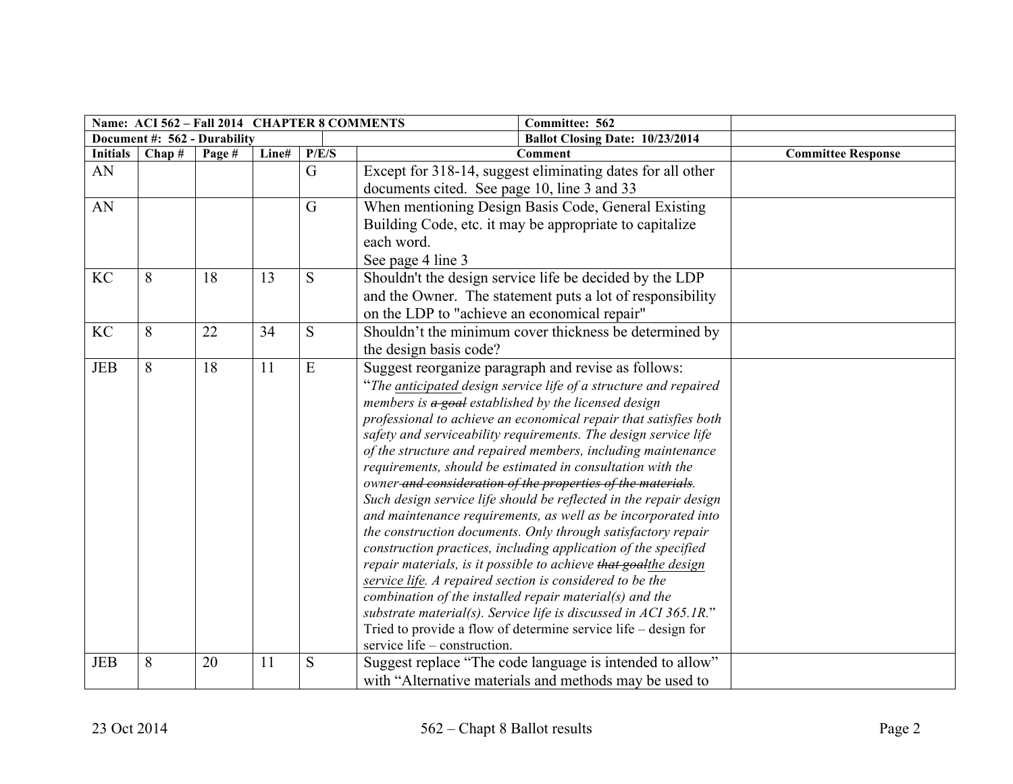|                 | Name: ACI 562 - Fall 2014 CHAPTER 8 COMMENTS |                              |       |                |                                                                                                                                                                                                                                                                                                                                                                                                                                                                                                                                                                                                                                                                                                                                                                                                                                                                                                                                                                                                                                                                                                                                                               |                           |
|-----------------|----------------------------------------------|------------------------------|-------|----------------|---------------------------------------------------------------------------------------------------------------------------------------------------------------------------------------------------------------------------------------------------------------------------------------------------------------------------------------------------------------------------------------------------------------------------------------------------------------------------------------------------------------------------------------------------------------------------------------------------------------------------------------------------------------------------------------------------------------------------------------------------------------------------------------------------------------------------------------------------------------------------------------------------------------------------------------------------------------------------------------------------------------------------------------------------------------------------------------------------------------------------------------------------------------|---------------------------|
|                 |                                              | Document #: 562 - Durability |       |                |                                                                                                                                                                                                                                                                                                                                                                                                                                                                                                                                                                                                                                                                                                                                                                                                                                                                                                                                                                                                                                                                                                                                                               |                           |
| <b>Initials</b> | Chap#                                        | Page #                       | Line# | P/E/S          | <b>Comment</b>                                                                                                                                                                                                                                                                                                                                                                                                                                                                                                                                                                                                                                                                                                                                                                                                                                                                                                                                                                                                                                                                                                                                                | <b>Committee Response</b> |
| AN              |                                              |                              |       | G              | Except for 318-14, suggest eliminating dates for all other                                                                                                                                                                                                                                                                                                                                                                                                                                                                                                                                                                                                                                                                                                                                                                                                                                                                                                                                                                                                                                                                                                    |                           |
|                 |                                              |                              |       |                | documents cited. See page 10, line 3 and 33                                                                                                                                                                                                                                                                                                                                                                                                                                                                                                                                                                                                                                                                                                                                                                                                                                                                                                                                                                                                                                                                                                                   |                           |
| AN              |                                              |                              |       | $\overline{G}$ | When mentioning Design Basis Code, General Existing                                                                                                                                                                                                                                                                                                                                                                                                                                                                                                                                                                                                                                                                                                                                                                                                                                                                                                                                                                                                                                                                                                           |                           |
|                 |                                              |                              |       |                | Building Code, etc. it may be appropriate to capitalize                                                                                                                                                                                                                                                                                                                                                                                                                                                                                                                                                                                                                                                                                                                                                                                                                                                                                                                                                                                                                                                                                                       |                           |
|                 |                                              |                              |       |                | each word.                                                                                                                                                                                                                                                                                                                                                                                                                                                                                                                                                                                                                                                                                                                                                                                                                                                                                                                                                                                                                                                                                                                                                    |                           |
|                 |                                              |                              |       |                | See page 4 line 3                                                                                                                                                                                                                                                                                                                                                                                                                                                                                                                                                                                                                                                                                                                                                                                                                                                                                                                                                                                                                                                                                                                                             |                           |
| <b>KC</b>       | 8                                            | 18                           | 13    | S              | Shouldn't the design service life be decided by the LDP                                                                                                                                                                                                                                                                                                                                                                                                                                                                                                                                                                                                                                                                                                                                                                                                                                                                                                                                                                                                                                                                                                       |                           |
|                 |                                              |                              |       |                | and the Owner. The statement puts a lot of responsibility                                                                                                                                                                                                                                                                                                                                                                                                                                                                                                                                                                                                                                                                                                                                                                                                                                                                                                                                                                                                                                                                                                     |                           |
|                 |                                              |                              |       |                | on the LDP to "achieve an economical repair"                                                                                                                                                                                                                                                                                                                                                                                                                                                                                                                                                                                                                                                                                                                                                                                                                                                                                                                                                                                                                                                                                                                  |                           |
| <b>KC</b>       | 8                                            | 22                           | 34    | S              | Shouldn't the minimum cover thickness be determined by                                                                                                                                                                                                                                                                                                                                                                                                                                                                                                                                                                                                                                                                                                                                                                                                                                                                                                                                                                                                                                                                                                        |                           |
|                 |                                              |                              |       |                | the design basis code?                                                                                                                                                                                                                                                                                                                                                                                                                                                                                                                                                                                                                                                                                                                                                                                                                                                                                                                                                                                                                                                                                                                                        |                           |
| <b>JEB</b>      | 8                                            | 18                           | 11    | E              | Suggest reorganize paragraph and revise as follows:<br>"The anticipated design service life of a structure and repaired<br>members is $a$ goal established by the licensed design<br>professional to achieve an economical repair that satisfies both<br>safety and serviceability requirements. The design service life<br>of the structure and repaired members, including maintenance<br>requirements, should be estimated in consultation with the<br>owner and consideration of the properties of the materials.<br>Such design service life should be reflected in the repair design<br>and maintenance requirements, as well as be incorporated into<br>the construction documents. Only through satisfactory repair<br>construction practices, including application of the specified<br>repair materials, is it possible to achieve that goalthe design<br>service life. A repaired section is considered to be the<br>combination of the installed repair material(s) and the<br>substrate material(s). Service life is discussed in ACI 365.1R."<br>Tried to provide a flow of determine service life – design for<br>service life – construction. |                           |
| <b>JEB</b>      | 8                                            | 20                           | 11    | S              | Suggest replace "The code language is intended to allow"<br>with "Alternative materials and methods may be used to                                                                                                                                                                                                                                                                                                                                                                                                                                                                                                                                                                                                                                                                                                                                                                                                                                                                                                                                                                                                                                            |                           |